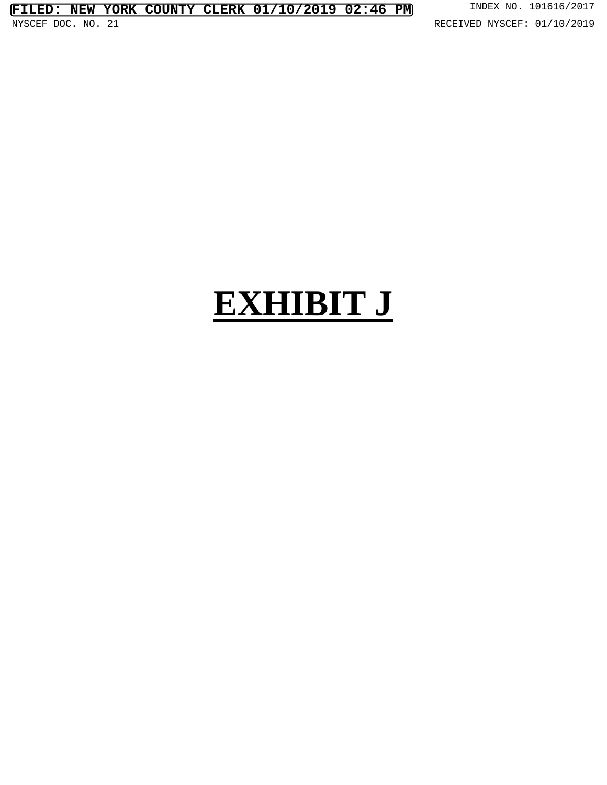## **EXHIBIT J**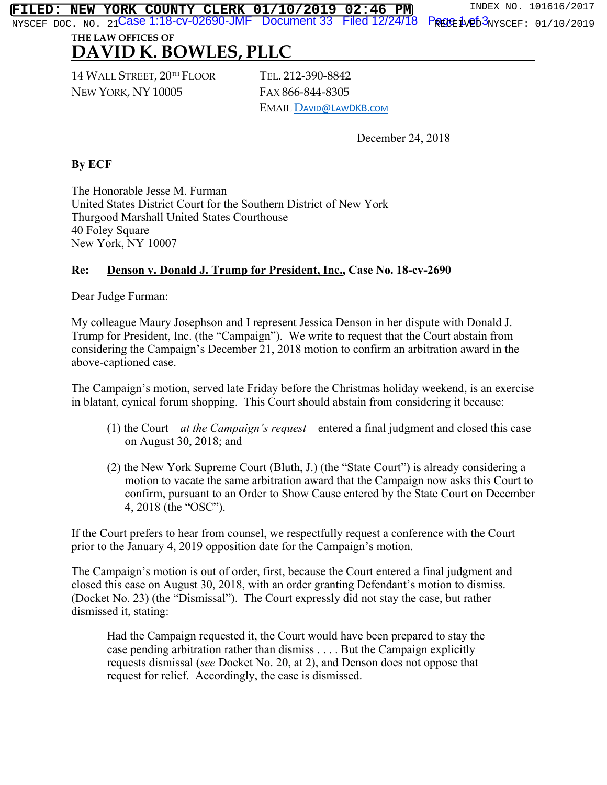**Case 1:18-cv-02690-JMF** Document 33 Filed 12/24/18 Page 1<sub>v</sub>e<sub>b</sub>3 **FILED: NEW YORK COUNTY CLERK 01/10/2019 02:46 PM** INDEX NO. 101616/2017

NYSCEF DOC. NO. 21**CASE I:I8-CV-UZ69U-JMF DOCUMENT33 FIECIIZ/Z4/I8 F触险虫炮b3**NYSCEF: 01/10/2019

## **THE LAW OFFICES OF DAVID K. BOWLES, PLLC**

14 WALL STREET, 20TH FLOOR NEW YORK, NY 10005

TEL. 212-390-8842 FAX 866-844-8305 EMAIL DAVID@LAWDKB.COM

December 24, 2018

## **By ECF**

The Honorable Jesse M. Furman United States District Court for the Southern District of New York Thurgood Marshall United States Courthouse 40 Foley Square New York, NY 10007

## **Re: Denson v. Donald J. Trump for President, Inc., Case No. 18-cv-2690**

Dear Judge Furman:

My colleague Maury Josephson and I represent Jessica Denson in her dispute with Donald J. Trump for President, Inc. (the "Campaign"). We write to request that the Court abstain from considering the Campaign's December 21, 2018 motion to confirm an arbitration award in the above-captioned case.

The Campaign's motion, served late Friday before the Christmas holiday weekend, is an exercise in blatant, cynical forum shopping. This Court should abstain from considering it because:

- (1) the Court *at the Campaign's request* entered a final judgment and closed this case on August 30, 2018; and
- (2) the New York Supreme Court (Bluth, J.) (the "State Court") is already considering a motion to vacate the same arbitration award that the Campaign now asks this Court to confirm, pursuant to an Order to Show Cause entered by the State Court on December 4, 2018 (the "OSC").

If the Court prefers to hear from counsel, we respectfully request a conference with the Court prior to the January 4, 2019 opposition date for the Campaign's motion.

The Campaign's motion is out of order, first, because the Court entered a final judgment and closed this case on August 30, 2018, with an order granting Defendant's motion to dismiss. (Docket No. 23) (the "Dismissal"). The Court expressly did not stay the case, but rather dismissed it, stating:

Had the Campaign requested it, the Court would have been prepared to stay the case pending arbitration rather than dismiss . . . . But the Campaign explicitly requests dismissal (*see* Docket No. 20, at 2), and Denson does not oppose that request for relief. Accordingly, the case is dismissed.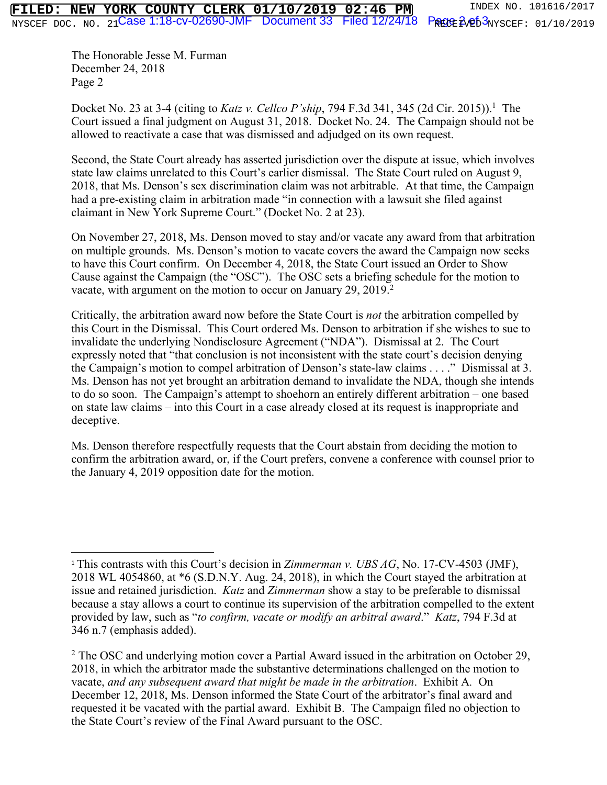The Honorable Jesse M. Furman December 24, 2018 Page 2

Docket No. 23 at 3-4 (citing to *Katz v. Cellco P'ship*, 794 F.3d 341, 345 (2d Cir. 2015)). 1 The Court issued a final judgment on August 31, 2018. Docket No. 24. The Campaign should not be allowed to reactivate a case that was dismissed and adjudged on its own request.

Second, the State Court already has asserted jurisdiction over the dispute at issue, which involves state law claims unrelated to this Court's earlier dismissal. The State Court ruled on August 9, 2018, that Ms. Denson's sex discrimination claim was not arbitrable. At that time, the Campaign had a pre-existing claim in arbitration made "in connection with a lawsuit she filed against claimant in New York Supreme Court." (Docket No. 2 at 23).

On November 27, 2018, Ms. Denson moved to stay and/or vacate any award from that arbitration on multiple grounds. Ms. Denson's motion to vacate covers the award the Campaign now seeks to have this Court confirm. On December 4, 2018, the State Court issued an Order to Show Cause against the Campaign (the "OSC"). The OSC sets a briefing schedule for the motion to vacate, with argument on the motion to occur on January 29, 2019. $2$ 

Critically, the arbitration award now before the State Court is *not* the arbitration compelled by this Court in the Dismissal. This Court ordered Ms. Denson to arbitration if she wishes to sue to invalidate the underlying Nondisclosure Agreement ("NDA"). Dismissal at 2. The Court expressly noted that "that conclusion is not inconsistent with the state court's decision denying the Campaign's motion to compel arbitration of Denson's state-law claims . . . ." Dismissal at 3. Ms. Denson has not yet brought an arbitration demand to invalidate the NDA, though she intends to do so soon. The Campaign's attempt to shoehorn an entirely different arbitration – one based on state law claims – into this Court in a case already closed at its request is inappropriate and deceptive.

Ms. Denson therefore respectfully requests that the Court abstain from deciding the motion to confirm the arbitration award, or, if the Court prefers, convene a conference with counsel prior to the January 4, 2019 opposition date for the motion.

<sup>&</sup>lt;sup>1</sup> This contrasts with this Court's decision in *Zimmerman v. UBS AG*, No. 17-CV-4503 (JMF), 2018 WL 4054860, at \*6 (S.D.N.Y. Aug. 24, 2018), in which the Court stayed the arbitration at issue and retained jurisdiction. *Katz* and *Zimmerman* show a stay to be preferable to dismissal because a stay allows a court to continue its supervision of the arbitration compelled to the extent provided by law, such as "*to confirm, vacate or modify an arbitral award*." *Katz*, 794 F.3d at 346 n.7 (emphasis added).

<sup>&</sup>lt;sup>2</sup> The OSC and underlying motion cover a Partial Award issued in the arbitration on October 29, 2018, in which the arbitrator made the substantive determinations challenged on the motion to vacate, *and any subsequent award that might be made in the arbitration*. Exhibit A*.* On December 12, 2018, Ms. Denson informed the State Court of the arbitrator's final award and requested it be vacated with the partial award. Exhibit B. The Campaign filed no objection to the State Court's review of the Final Award pursuant to the OSC.